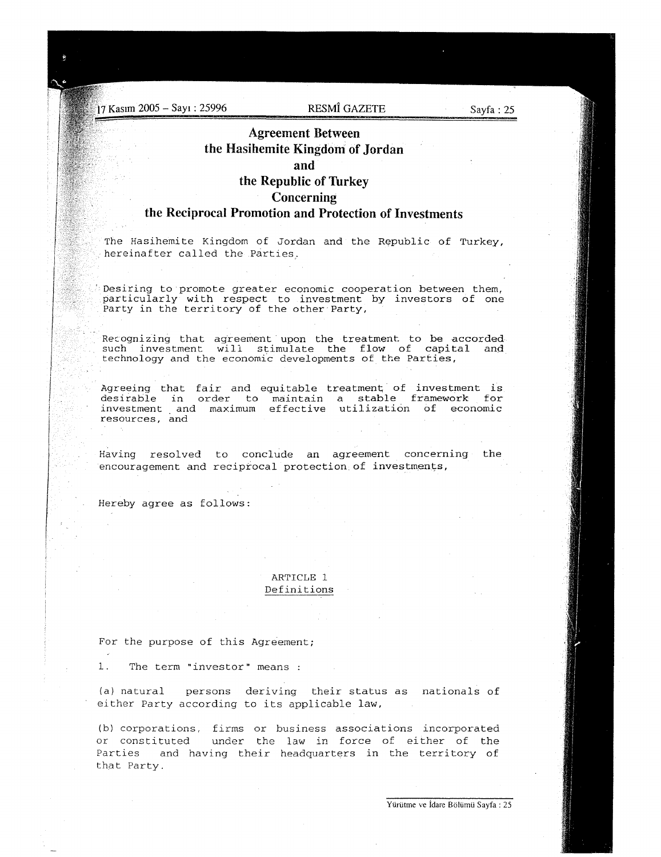$17$  Kasım 2005 – Sayı : 25996

# **RESMI** GAZETE

Sayfa: 25

# **Agreement Between the Hasihemite Kingdom of Jordan**

# **and**

# **the Republic of Turkey**

# **Concerning**

# **the Reciprocal Promotion and Protection of Investments**

The Hasihemite Kingdom of Jordan and the Republic of Turkey, hereinafter called the Parties.

besiring to promote greater economic cooperation between them, particularly with respect to investment by investors of one Party in the territory of the other Party,

Recognizing that agreement upon the treatment. to be accorded such investment will stimulate the flow of capital and technology and the economic developments of the Parties,

Agreeing that fair and equitable treatment of investment is desirable in order to maintain a stable framework for investment and maximum effective utilization of economic resources, and

Having resolved to conclude an agreement concerning the encouragement and reciprocal protection of investments,

Hereby agree as follows:

# ARTICLE 1 Definitions

For the purpose of this Agreement;

1. The term "investor" means:

(a) natural persons deriving their status as nationals of either Party according to its applicable law,

(b) corporations, firms or business associations incorporated or constituted under the law in force of either of the Parties and having their headquarters in the territory of that Party.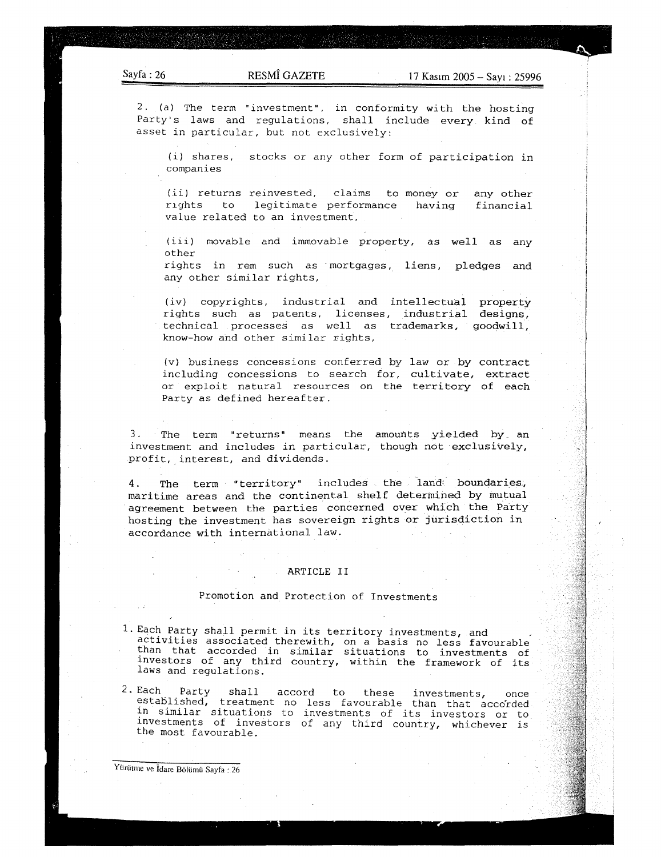2. (a) The term "investment", in conformity with the hosting Party's laws and regulations, shall include every. kind of asset in particular, but not exclusively:

(i) shares, stocks or any other form of participation in companies

(ii) returns reinvested, claims to money or rights to legitimate performance having value related to an investment, any other financial

(iii) movable and immovable property, as well as any other

rights in rem such as mortgages, liens, pledges and any other similar rights,

(iv) copyrights, industrial and intellectual property rights such as patents, licenses, industrial designs, technical processes as well as trademarks, goodwill, know-how and other similar rights,

(v) business concessions conferred by law or by contract including concessions to search for, cultivate, extract or exploit natural resources on the territory of each Party as defined hereafter.

3. The term "returns" means the amounts yielded by an investment and includes in particular, though not exclusively, profit, interest, and dividends.

4. The term "territory" includes the land boundaries, maritime areas and the continental shelf determined by mutual agreement between the parties concerned over which the Party hosting the investment has sovereign rights or jurisdiction in accordance with international law.

## ARTICLE II

# Promotion and Protection of Investments

1. Each Party shall permit in its territory investments, and activities associated therewith, on a basis no less favourable than that accorded in similar situations to investments of investors of any third country, within the framework of its laws and regulations.

2. Each Party shall accord to these investments, once established, treatment no less favourable than that accorded in similar situations to investments of its investors or to investments of investors of any third country, whichever is the most favourable.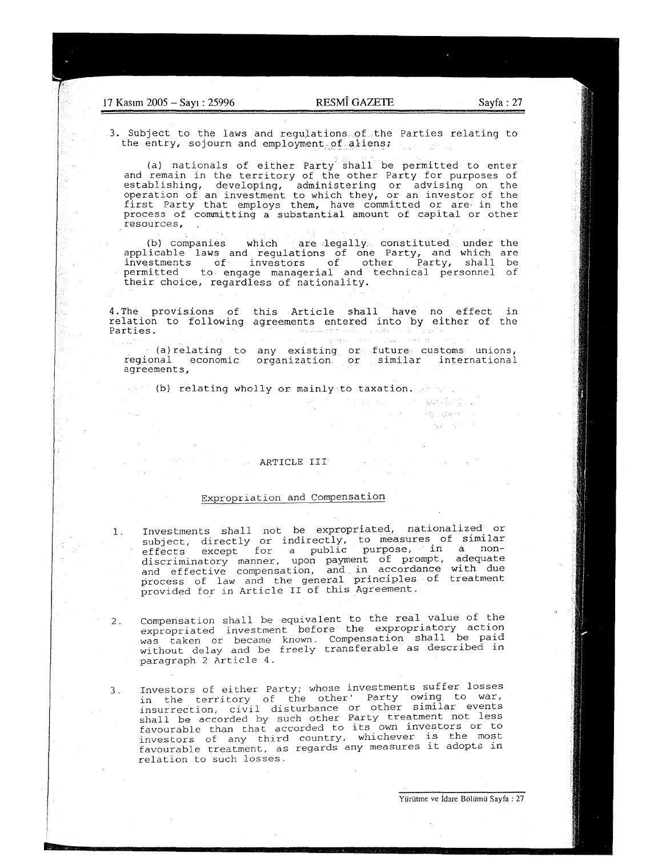3. Subject to the laws and regulations, of the Parties relating to the entry, sojourn and employment of aliens;

(a) nationals of either Party shall be permitted to enter and remain in the territory of the other Party for purposes of establishing, developing, administering or advising on the operatlon of an investment to which they, or an investor of the first Party that employs them, have committed or are· in the process of committing a substantial amount of capital or other .resources,

(b) companies which are legally. constituted under the applicable laws and regulations of one Party, and which are investments of investors of other Party, shall be permitted to engage managerial and technical personnel of their choice, regardless of nationality.

4.The provisions of this Article shall have no effect in relation to following agreements entered into by either of the Parties.

. (a) relating to regional economic agreements, any existing organization or or future customs unions, similar international

The Commission of Belling

 $\Delta\Delta\Omega_{\rm{eff}}$ 

Production of  $\sim 10^{11}$  and  $\sim 10^{11}$ 

(b) relating wholly or mainly to taxation.

# **ARTICLE III**

# Expropriation and Compensation

- 1. Investments shall not be expropriated, nationalized or subject, directly or indirectly, to measures of similar subject, difectly of indirectly, so models in a nondiscriminatory manner, upon payment of prompt, adequate and effective compensation, and. in accordance with due process of law and the general principles of treatment provided for in Article II of this Agreement.
- 2. Compensation shall be equivalent to the real value of the expropriated investment before the expropriatory action expropriated investment before the interpretation shall be paid was taken of became Anomi. Somptimes as described in paragraph 2 Article 4.
- 3. Investors of either Party; whose investments suffer losses in the territory of the other' Party owing to war, in the territory of the other rarby sharp events Insurrection, civil disturbance or contractionally have accorded by such other Party treatment not less shail be accorded by such other rarry creatment has reset-<br>favourable than that accorded to its own investors or to investors of any third country, whichever is the most favourable treatment, as regards any measures it adopts in relation to such losses.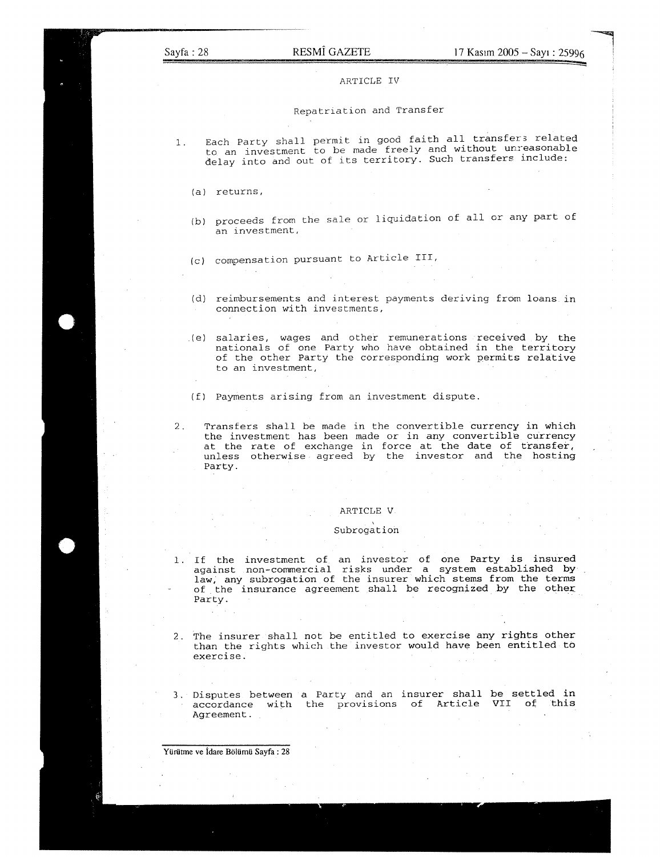| Sayfa:28 |  |
|----------|--|
|          |  |

-,

### ARTICLE IV

# Repatriation and Transfer

1. Each Party shall permit in good faith all transfers related to an investment to be made freely and without unreasonable delay into and out of its territory. Such transfers include:

- (a) returns,
- (b) proceeds from the sale or liquidation of all or any part of an investment,

(c) compensation pursuant to Article III,

- (d) reimbursements and interest payments deriving from loans in connection with investments,
- (e) salaries, wages and other remunerations received by the nationals of one Party who have obtained in the territory of the other Party the corresponding work permits relative to an investment,
- (f) Payments arising from an investment dispute.
- 2. Transfers shall be made in the convertible currency in which the investment has been made or in any convertible currency at the rate of exchange in force at the date of transfer, unless otherwise agreed by the investor and the hosting Party.

# ARTICLE V<br>Subrogation

- 1. If the investment of an investor of one Party is insured against non-commercial risks under a system established by law, any subrogation of the insurer which stems from the terms of the insurance agreement shall be recognized by the other Party.
- 2. The insurer shall not be entitled to exercise any rights other than the rights which the investor would have been entitled to exercise.
- 3. Disputes between a Party and an insurer shall be settled in accordance with the provisions of Article VII of this Agreement.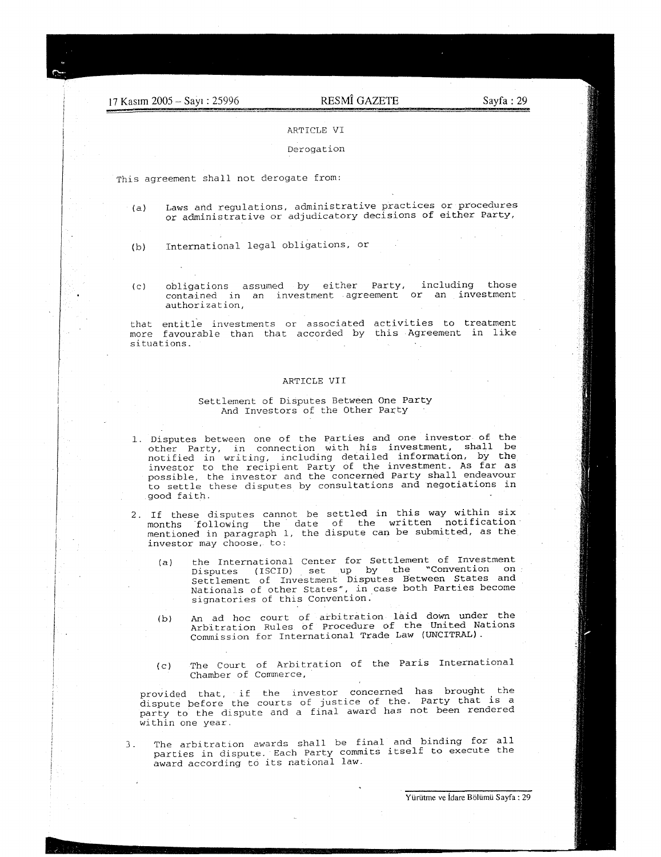17 Kaslffi 2005 - SaYl : 25996 **RESMI** GAZETE Sayfa: 29

### ARTICLE VI

### Derogation

This agreement shall not derogate from:

- (a) Laws and regulations, administrative practices or procedures or administrative or adjudicatory decisions of either Party,
- (bl International legal obligations, or
- (c) obligations assumed by either Party, obligations assumed by either Party, including those<br>contained in an investment agreement or an investment authorization,

that entitle investments or associated activities to treatment more favourable than that accorded by this Agreement in like situations.

### ARTICLE VII

### Settlement of Disputes Between One Party And Investors of the Other Party

- 1. Disputes between one of the parties and one investor of the other Party, in connection with his investment, shall be notified in writing, including detailed information, by the investor to the recipient Party of the investment. AS far as possible, the investor and the concerned party shall endeavour possible, the investor and the concerned Party shall endeavour<br>to settle these disputes by consultations and negotiations in good faith.
- 2. If these disputes cannot be settled in this way within six months following the date of the written notification mentioned in paragraph 1, the dispute can be submitted, as the investor may choose, to:
	- (a) the International Center for Settlement of Investment Chie International control of the "Convention on Sisputes (ISCID) set up by the "Convention on Settlement of Investment Disputes Between States and<br>Nationals of other States', in case both Parties become signatories of this Convention.
	- (b) An ad hoc court of arbitration laid down under the Arbitration Rules of Procedure of the United Nations Commission for International Trade Law (UNCITRAL).
	- (c) The Court of Arbitration of the Paris International Chamber of Commerce,

provided that, if the investor concerned has brought the dispute before the courts of justice of the. Party that is a party to the dispute and a final award has not been rendered within one year.

3. The arbitration awards shall be final and binding for all The arbitration awards shall be final and binding for the<br>parties in dispute. Each Party commits itself to execute the award according to its national law.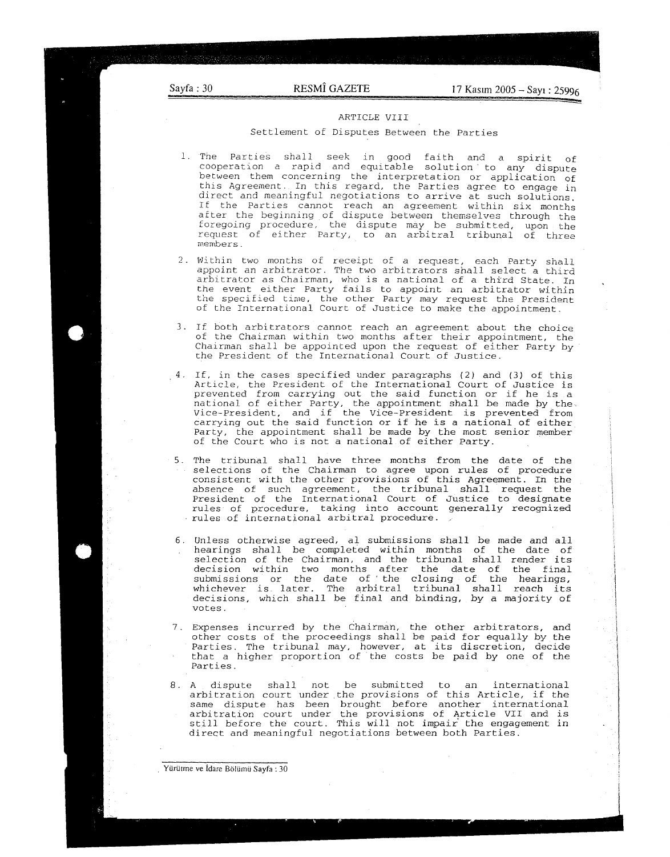### ARTICLE VIII

# Settlement of Disputes Between the Parties

- 1. The Parties shall seek in good faith and a spirit of cooperation a rapid and equitable solution' to any dispute between them concerning the interpretation or application of this Agreement. In this regard, the Parties agree to engage in direct and meaningful negotiations to arrive at such solutions. If the Parties cannot reach an agreement within six months after the beginning of dispuce between themselves through the foregoing procedure, the dispute may be submitted, upon the<br>request of either Party, to an arbitral tribunal of three members.
- 2. Within two months of receipt of a request, each Party shall appoint an arbitrator. The two arbitrators shall select a third arbitrator as Chairman, who is a national of a third State. In the event either Party fails to appoint an arbitrator within the specified time, the other Party may request the President of the International Court of Justice to make the appointment.
- 3. If both arbitrators cannot reach an agreement about the choice of the Chairman within two months after their appointment, the Chairman shall be appointed upon the request of either Party by the President of the International Court of Justice.
- 4. If, in the cases specified under paragraphs (2) and (3) of this Article, the President of the International Court of Justice is<br>prevented from carrying out the said function or if he is a prevented from carrying out the said function or if he is a national of either Party, the appointment shall be made by the Vice-President, and if the Vice-President is prevented from carrying out the said function or if he is a national of either Party, the appointment shall be made by the most senior member of the Court who is not a national of either Party.
- 5. The tribunal shall have three months from the date of the selections of the Chairman to agree upon rules of procedure consistent with the other provisions of this Agreement. In the absence of such agreement, the tribunal shall request the President of the International Court of Justice to designate rules of procedure, taking into account generally recognized rules of international arbitral procedure.
- 6. Unless otherwise agreed, al submissions shall be made and all hearings shall be completed within months of the date of selection of the Chairman, and the tribunal shall render its decision within two months after the date of the final submissions or the date of' the closing of the hearings, submissions of the date of the crosing of the heafings,<br>whichever is later. The arbitral tribunal shall reach its decisions, which shall be final and binding, by a majority of votes.
- 7. Expenses incurred by the Chairman, the other arbitrators, and other costs of the proceedings shall be paid for equally by the Parties. The tribunal may, however, at its discretion, decide that a higher proportion of the costs be paid by one of the Parties.
- 8. A dispute shall not be submitted to an international arbitration court under .the provisions of this Article, if the same dispute has been brought before another international same dispute has been brought before another international<br>arbitration court under the provisions of Article VII and is arbitration court under the provisions of Article vir and is<br>still before the court. This will not impair the engagement in direct and meaningful negotiations between both Parties.